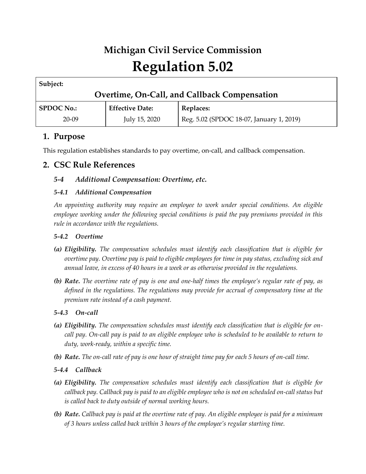# **Michigan Civil Service Commission Regulation 5.02**

| Subject:                                     |                        |                                          |
|----------------------------------------------|------------------------|------------------------------------------|
| Overtime, On-Call, and Callback Compensation |                        |                                          |
| <b>SPDOC No.:</b>                            | <b>Effective Date:</b> | Replaces:                                |
| $20 - 09$                                    | July 15, 2020          | Reg. 5.02 (SPDOC 18-07, January 1, 2019) |

# **1. Purpose**

This regulation establishes standards to pay overtime, on-call, and callback compensation.

# **2. CSC Rule References**

# *5-4 Additional Compensation: Overtime, etc.*

# *5-4.1 Additional Compensation*

*An appointing authority may require an employee to work under special conditions. An eligible employee working under the following special conditions is paid the pay premiums provided in this rule in accordance with the regulations.*

# *5-4.2 Overtime*

- *(a) Eligibility. The compensation schedules must identify each classification that is eligible for overtime pay. Overtime pay is paid to eligible employees for time in pay status, excluding sick and annual leave, in excess of 40 hours in a week or as otherwise provided in the regulations.*
- *(b) Rate. The overtime rate of pay is one and one-half times the employee's regular rate of pay, as defined in the regulations. The regulations may provide for accrual of compensatory time at the premium rate instead of a cash payment.*

# *5-4.3 On-call*

- *(a) Eligibility. The compensation schedules must identify each classification that is eligible for on*call pay. On-call pay is paid to an eligible employee who is scheduled to be available to return to *duty, work-ready, within a specific time.*
- *(b) Rate. The on-call rate of pay is one hour of straight time pay for each 5 hours of on-call time.*
- *5-4.4 Callback*
- *(a) Eligibility. The compensation schedules must identify each classification that is eligible for callback pay. Callback pay is paid to an eligible employee who is not on scheduled on-call status but is called back to duty outside of normal working hours.*
- *(b) Rate. Callback pay is paid at the overtime rate of pay. An eligible employee is paid for a minimum of 3 hours unless called back within 3 hours of the employee's regular starting time.*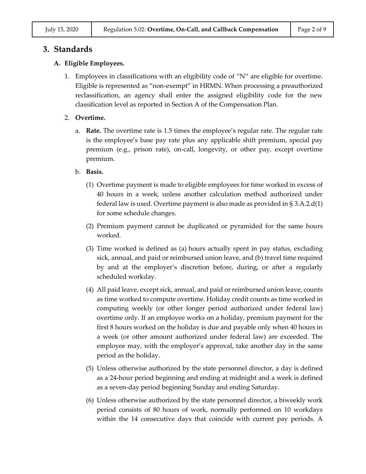# **3. Standards**

### **A. Eligible Employees.**

1. Employees in classifications with an eligibility code of "N" are eligible for overtime. Eligible is represented as "non-exempt" in HRMN. When processing a preauthorized reclassification, an agency shall enter the assigned eligibility code for the new classification level as reported in Section A of the Compensation Plan.

## 2. **Overtime.**

a. **Rate.** The overtime rate is 1.5 times the employee's regular rate. The regular rate is the employee's base pay rate plus any applicable shift premium, special pay premium (e.g., prison rate), on-call, longevity, or other pay, except overtime premium.

#### b. **Basis.**

- (1) Overtime payment is made to eligible employees for time worked in excess of 40 hours in a week, unless another calculation method authorized under federal law is used. Overtime payment is also made as provided in § 3.A.2.d(1) for some schedule changes.
- (2) Premium payment cannot be duplicated or pyramided for the same hours worked.
- (3) Time worked is defined as (a) hours actually spent in pay status, excluding sick, annual, and paid or reimbursed union leave, and (b) travel time required by and at the employer's discretion before, during, or after a regularly scheduled workday.
- (4) All paid leave, except sick, annual, and paid or reimbursed union leave, counts as time worked to compute overtime. Holiday credit counts as time worked in computing weekly (or other longer period authorized under federal law) overtime only. If an employee works on a holiday, premium payment for the first 8 hours worked on the holiday is due and payable only when 40 hours in a week (or other amount authorized under federal law) are exceeded. The employee may, with the employer's approval, take another day in the same period as the holiday.
- (5) Unless otherwise authorized by the state personnel director, a day is defined as a 24-hour period beginning and ending at midnight and a week is defined as a seven-day period beginning Sunday and ending Saturday.
- (6) Unless otherwise authorized by the state personnel director, a biweekly work period consists of 80 hours of work, normally performed on 10 workdays within the 14 consecutive days that coincide with current pay periods. A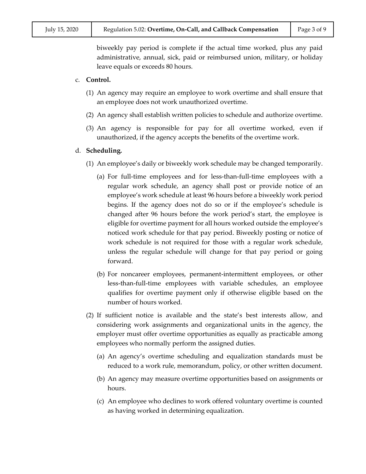biweekly pay period is complete if the actual time worked, plus any paid administrative, annual, sick, paid or reimbursed union, military, or holiday leave equals or exceeds 80 hours.

#### c. **Control.**

- (1) An agency may require an employee to work overtime and shall ensure that an employee does not work unauthorized overtime.
- (2) An agency shall establish written policies to schedule and authorize overtime.
- (3) An agency is responsible for pay for all overtime worked, even if unauthorized, if the agency accepts the benefits of the overtime work.

#### d. **Scheduling.**

- (1) An employee's daily or biweekly work schedule may be changed temporarily.
	- (a) For full-time employees and for less-than-full-time employees with a regular work schedule, an agency shall post or provide notice of an employee's work schedule at least 96 hours before a biweekly work period begins. If the agency does not do so or if the employee's schedule is changed after 96 hours before the work period's start, the employee is eligible for overtime payment for all hours worked outside the employee's noticed work schedule for that pay period. Biweekly posting or notice of work schedule is not required for those with a regular work schedule, unless the regular schedule will change for that pay period or going forward.
	- (b) For noncareer employees, permanent-intermittent employees, or other less-than-full-time employees with variable schedules, an employee qualifies for overtime payment only if otherwise eligible based on the number of hours worked.
- (2) If sufficient notice is available and the state's best interests allow, and considering work assignments and organizational units in the agency, the employer must offer overtime opportunities as equally as practicable among employees who normally perform the assigned duties.
	- (a) An agency's overtime scheduling and equalization standards must be reduced to a work rule, memorandum, policy, or other written document.
	- (b) An agency may measure overtime opportunities based on assignments or hours.
	- (c) An employee who declines to work offered voluntary overtime is counted as having worked in determining equalization.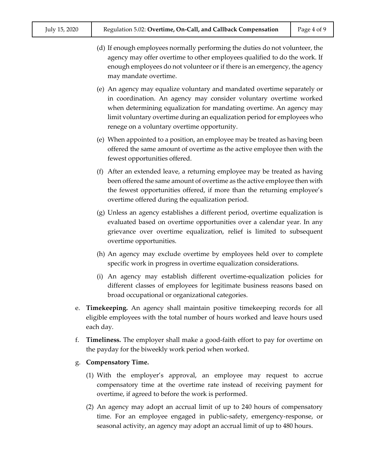- (d) If enough employees normally performing the duties do not volunteer, the agency may offer overtime to other employees qualified to do the work. If enough employees do not volunteer or if there is an emergency, the agency may mandate overtime.
- (e) An agency may equalize voluntary and mandated overtime separately or in coordination. An agency may consider voluntary overtime worked when determining equalization for mandating overtime. An agency may limit voluntary overtime during an equalization period for employees who renege on a voluntary overtime opportunity.
- (e) When appointed to a position, an employee may be treated as having been offered the same amount of overtime as the active employee then with the fewest opportunities offered.
- (f) After an extended leave, a returning employee may be treated as having been offered the same amount of overtime as the active employee then with the fewest opportunities offered, if more than the returning employee's overtime offered during the equalization period.
- (g) Unless an agency establishes a different period, overtime equalization is evaluated based on overtime opportunities over a calendar year. In any grievance over overtime equalization, relief is limited to subsequent overtime opportunities.
- (h) An agency may exclude overtime by employees held over to complete specific work in progress in overtime equalization considerations.
- (i) An agency may establish different overtime-equalization policies for different classes of employees for legitimate business reasons based on broad occupational or organizational categories.
- e. **Timekeeping.** An agency shall maintain positive timekeeping records for all eligible employees with the total number of hours worked and leave hours used each day.
- f. **Timeliness.** The employer shall make a good-faith effort to pay for overtime on the payday for the biweekly work period when worked.
- g. **Compensatory Time.**
	- (1) With the employer's approval, an employee may request to accrue compensatory time at the overtime rate instead of receiving payment for overtime, if agreed to before the work is performed.
	- (2) An agency may adopt an accrual limit of up to 240 hours of compensatory time. For an employee engaged in public-safety, emergency-response, or seasonal activity, an agency may adopt an accrual limit of up to 480 hours.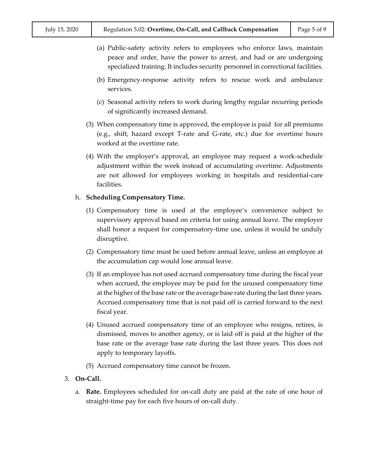- (a) Public-safety activity refers to employees who enforce laws, maintain peace and order, have the power to arrest, and had or are undergoing specialized training. It includes security personnel in correctional facilities.
- (b) Emergency-response activity refers to rescue work and ambulance services.
- (c) Seasonal activity refers to work during lengthy regular recurring periods of significantly increased demand.
- (3) When compensatory time is approved, the employee is paid for all premiums (e.g., shift, hazard except T-rate and G-rate, etc.) due for overtime hours worked at the overtime rate.
- (4) With the employer's approval, an employee may request a work-schedule adjustment within the week instead of accumulating overtime. Adjustments are not allowed for employees working in hospitals and residential-care facilities.

#### h. **Scheduling Compensatory Time.**

- (1) Compensatory time is used at the employee's convenience subject to supervisory approval based on criteria for using annual leave. The employer shall honor a request for compensatory-time use, unless it would be unduly disruptive.
- (2) Compensatory time must be used before annual leave, unless an employee at the accumulation cap would lose annual leave.
- (3) If an employee has not used accrued compensatory time during the fiscal year when accrued, the employee may be paid for the unused compensatory time at the higher of the base rate or the average base rate during the last three years. Accrued compensatory time that is not paid off is carried forward to the next fiscal year.
- (4) Unused accrued compensatory time of an employee who resigns, retires, is dismissed, moves to another agency, or is laid off is paid at the higher of the base rate or the average base rate during the last three years. This does not apply to temporary layoffs.
- (5) Accrued compensatory time cannot be frozen.
- 3. **On-Call.**
	- a. **Rate.** Employees scheduled for on-call duty are paid at the rate of one hour of straight-time pay for each five hours of on-call duty.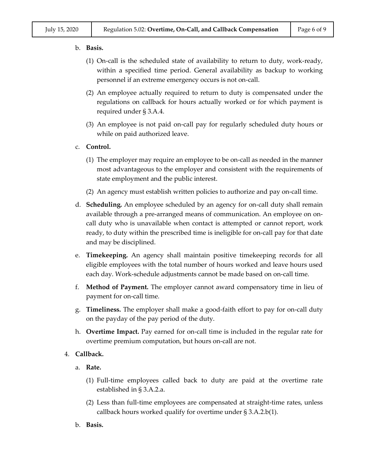- b. **Basis.**
	- (1) On-call is the scheduled state of availability to return to duty, work-ready, within a specified time period. General availability as backup to working personnel if an extreme emergency occurs is not on-call.
	- (2) An employee actually required to return to duty is compensated under the regulations on callback for hours actually worked or for which payment is required under § 3.A.4.
	- (3) An employee is not paid on-call pay for regularly scheduled duty hours or while on paid authorized leave.
- c. **Control.**
	- (1) The employer may require an employee to be on-call as needed in the manner most advantageous to the employer and consistent with the requirements of state employment and the public interest.
	- (2) An agency must establish written policies to authorize and pay on-call time.
- d. **Scheduling.** An employee scheduled by an agency for on-call duty shall remain available through a pre-arranged means of communication. An employee on oncall duty who is unavailable when contact is attempted or cannot report, work ready, to duty within the prescribed time is ineligible for on-call pay for that date and may be disciplined.
- e. **Timekeeping.** An agency shall maintain positive timekeeping records for all eligible employees with the total number of hours worked and leave hours used each day. Work-schedule adjustments cannot be made based on on-call time.
- f. **Method of Payment.** The employer cannot award compensatory time in lieu of payment for on-call time.
- g. **Timeliness.** The employer shall make a good-faith effort to pay for on-call duty on the payday of the pay period of the duty.
- h. **Overtime Impact.** Pay earned for on-call time is included in the regular rate for overtime premium computation, but hours on-call are not.

#### 4. **Callback.**

- a. **Rate.**
	- (1) Full-time employees called back to duty are paid at the overtime rate established in § 3.A.2.a.
	- (2) Less than full-time employees are compensated at straight-time rates, unless callback hours worked qualify for overtime under § 3.A.2.b(1).
- b. **Basis.**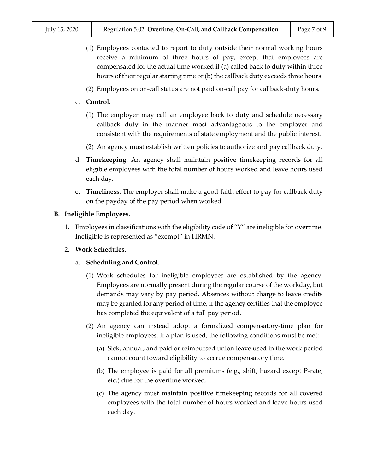- (1) Employees contacted to report to duty outside their normal working hours receive a minimum of three hours of pay, except that employees are compensated for the actual time worked if (a) called back to duty within three hours of their regular starting time or (b) the callback duty exceeds three hours.
- (2) Employees on on-call status are not paid on-call pay for callback-duty hours.
- c. **Control.**
	- (1) The employer may call an employee back to duty and schedule necessary callback duty in the manner most advantageous to the employer and consistent with the requirements of state employment and the public interest.
	- (2) An agency must establish written policies to authorize and pay callback duty.
- d. **Timekeeping.** An agency shall maintain positive timekeeping records for all eligible employees with the total number of hours worked and leave hours used each day.
- e. **Timeliness.** The employer shall make a good-faith effort to pay for callback duty on the payday of the pay period when worked.

## **B. Ineligible Employees.**

- 1. Employees in classifications with the eligibility code of "Y" are ineligible for overtime. Ineligible is represented as "exempt" in HRMN.
- 2. **Work Schedules.**
	- a. **Scheduling and Control.**
		- (1) Work schedules for ineligible employees are established by the agency. Employees are normally present during the regular course of the workday, but demands may vary by pay period. Absences without charge to leave credits may be granted for any period of time, if the agency certifies that the employee has completed the equivalent of a full pay period.
		- (2) An agency can instead adopt a formalized compensatory-time plan for ineligible employees. If a plan is used, the following conditions must be met:
			- (a) Sick, annual, and paid or reimbursed union leave used in the work period cannot count toward eligibility to accrue compensatory time.
			- (b) The employee is paid for all premiums (e.g., shift, hazard except P-rate, etc.) due for the overtime worked.
			- (c) The agency must maintain positive timekeeping records for all covered employees with the total number of hours worked and leave hours used each day.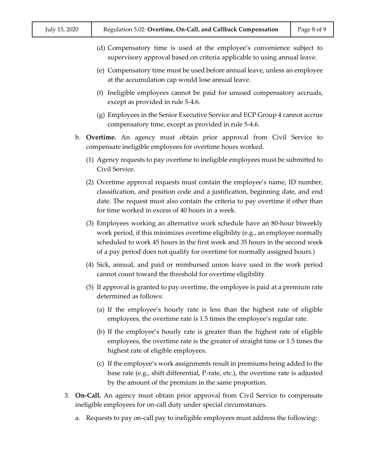- (d) Compensatory time is used at the employee's convenience subject to supervisory approval based on criteria applicable to using annual leave.
- (e) Compensatory time must be used before annual leave, unless an employee at the accumulation cap would lose annual leave.
- (f) Ineligible employees cannot be paid for unused compensatory accruals, except as provided in rule 5-4.6.
- (g) Employees in the Senior Executive Service and ECP Group 4 cannot accrue compensatory time, except as provided in rule 5-4.6.
- b. **Overtime.** An agency must obtain prior approval from Civil Service to compensate ineligible employees for overtime hours worked.
	- (1) Agency requests to pay overtime to ineligible employees must be submitted to Civil Service.
	- (2) Overtime approval requests must contain the employee's name, ID number, classification, and position code and a justification, beginning date, and end date. The request must also contain the criteria to pay overtime if other than for time worked in excess of 40 hours in a week.
	- (3) Employees working an alternative work schedule have an 80-hour biweekly work period, if this minimizes overtime eligibility (e.g., an employee normally scheduled to work 45 hours in the first week and 35 hours in the second week of a pay period does not qualify for overtime for normally assigned hours.)
	- (4) Sick, annual, and paid or reimbursed union leave used in the work period cannot count toward the threshold for overtime eligibility.
	- (5) If approval is granted to pay overtime, the employee is paid at a premium rate determined as follows:
		- (a) If the employee's hourly rate is less than the highest rate of eligible employees, the overtime rate is 1.5 times the employee's regular rate.
		- (b) If the employee's hourly rate is greater than the highest rate of eligible employees, the overtime rate is the greater of straight time or 1.5 times the highest rate of eligible employees.
		- (c) If the employee's work assignments result in premiums being added to the base rate (e.g., shift differential, P-rate, etc.), the overtime rate is adjusted by the amount of the premium in the same proportion.
- 3. **On-Call.** An agency must obtain prior approval from Civil Service to compensate ineligible employees for on-call duty under special circumstances.
	- a. Requests to pay on-call pay to ineligible employees must address the following: